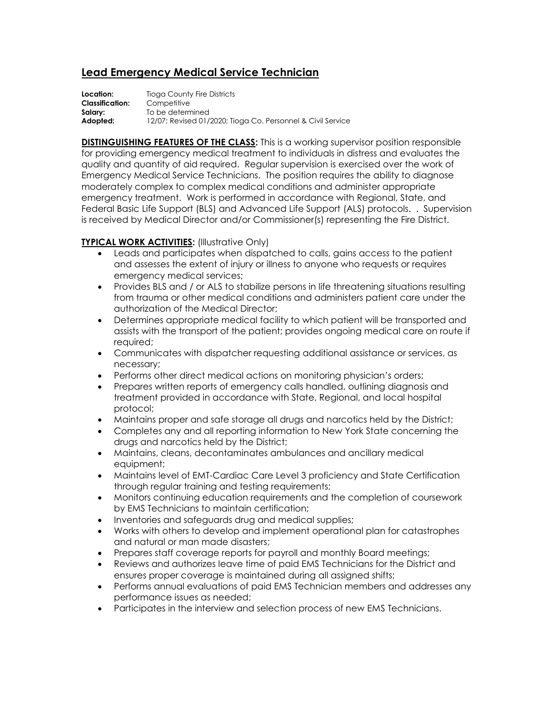## **Lead Emergency Medical Service Technician**

**Location:** Tioga County Fire Districts **Classification:** Competitive **Salary:** To be determined **Adopted:** 12/07; Revised 01/2020; Tioga Co. Personnel & Civil Service

**DISTINGUISHING FEATURES OF THE CLASS:** This is a working supervisor position responsible for providing emergency medical treatment to individuals in distress and evaluates the quality and quantity of aid required. Regular supervision is exercised over the work of Emergency Medical Service Technicians. The position requires the ability to diagnose moderately complex to complex medical conditions and administer appropriate emergency treatment. Work is performed in accordance with Regional, State, and Federal Basic Life Support (BLS) and Advanced Life Support (ALS) protocols. . Supervision is received by Medical Director and/or Commissioner(s) representing the Fire District.

## **TYPICAL WORK ACTIVITIES:** (Illustrative Only)

- Leads and participates when dispatched to calls, gains access to the patient and assesses the extent of injury or illness to anyone who requests or requires emergency medical services;
- Provides BLS and / or ALS to stabilize persons in life threatening situations resulting from trauma or other medical conditions and administers patient care under the authorization of the Medical Director;
- Determines appropriate medical facility to which patient will be transported and assists with the transport of the patient; provides ongoing medical care on route if required;
- Communicates with dispatcher requesting additional assistance or services, as necessary;
- Performs other direct medical actions on monitoring physician's orders;
- Prepares written reports of emergency calls handled, outlining diagnosis and treatment provided in accordance with State, Regional, and local hospital protocol;
- Maintains proper and safe storage all drugs and narcotics held by the District;
- Completes any and all reporting information to New York State concerning the drugs and narcotics held by the District;
- Maintains, cleans, decontaminates ambulances and ancillary medical equipment;
- Maintains level of EMT-Cardiac Care Level 3 proficiency and State Certification through regular training and testing requirements;
- Monitors continuing education requirements and the completion of coursework by EMS Technicians to maintain certification;
- Inventories and safeguards drug and medical supplies;
- Works with others to develop and implement operational plan for catastrophes and natural or man made disasters;
- Prepares staff coverage reports for payroll and monthly Board meetings;
- Reviews and authorizes leave time of paid EMS Technicians for the District and ensures proper coverage is maintained during all assigned shifts;
- Performs annual evaluations of paid EMS Technician members and addresses any performance issues as needed;
- Participates in the interview and selection process of new EMS Technicians.